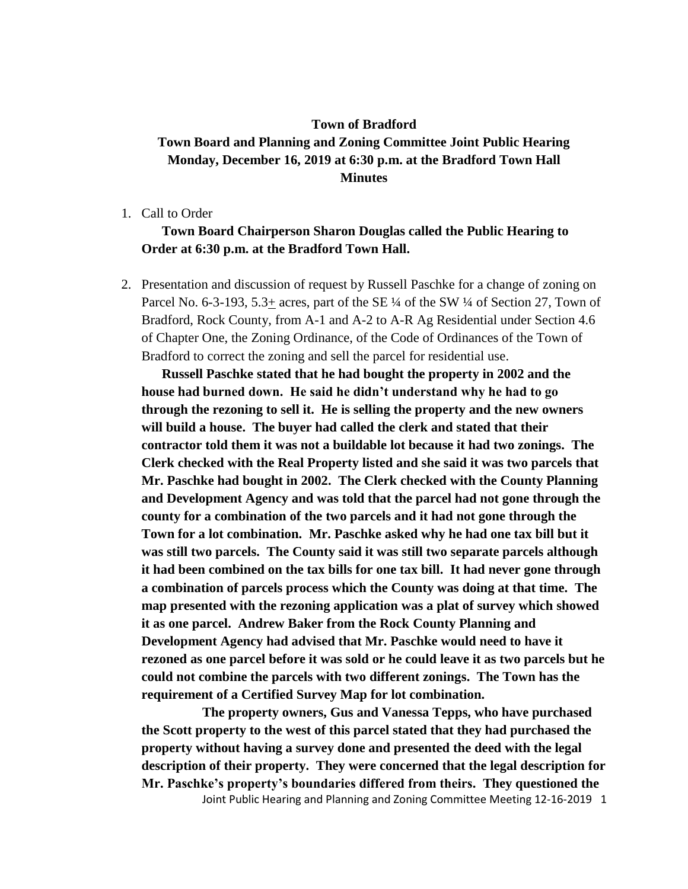## **Town of Bradford Town Board and Planning and Zoning Committee Joint Public Hearing Monday, December 16, 2019 at 6:30 p.m. at the Bradford Town Hall Minutes**

1. Call to Order

## **Town Board Chairperson Sharon Douglas called the Public Hearing to Order at 6:30 p.m. at the Bradford Town Hall.**

2. Presentation and discussion of request by Russell Paschke for a change of zoning on Parcel No. 6-3-193, 5.3+ acres, part of the SE  $\frac{1}{4}$  of the SW  $\frac{1}{4}$  of Section 27, Town of Bradford, Rock County, from A-1 and A-2 to A-R Ag Residential under Section 4.6 of Chapter One, the Zoning Ordinance, of the Code of Ordinances of the Town of Bradford to correct the zoning and sell the parcel for residential use.

**Russell Paschke stated that he had bought the property in 2002 and the house had burned down. He said he didn't understand why he had to go through the rezoning to sell it. He is selling the property and the new owners will build a house. The buyer had called the clerk and stated that their contractor told them it was not a buildable lot because it had two zonings. The Clerk checked with the Real Property listed and she said it was two parcels that Mr. Paschke had bought in 2002. The Clerk checked with the County Planning and Development Agency and was told that the parcel had not gone through the county for a combination of the two parcels and it had not gone through the Town for a lot combination. Mr. Paschke asked why he had one tax bill but it was still two parcels. The County said it was still two separate parcels although it had been combined on the tax bills for one tax bill. It had never gone through a combination of parcels process which the County was doing at that time. The map presented with the rezoning application was a plat of survey which showed it as one parcel. Andrew Baker from the Rock County Planning and Development Agency had advised that Mr. Paschke would need to have it rezoned as one parcel before it was sold or he could leave it as two parcels but he could not combine the parcels with two different zonings. The Town has the requirement of a Certified Survey Map for lot combination.**

Joint Public Hearing and Planning and Zoning Committee Meeting 12-16-2019 1 **The property owners, Gus and Vanessa Tepps, who have purchased the Scott property to the west of this parcel stated that they had purchased the property without having a survey done and presented the deed with the legal description of their property. They were concerned that the legal description for Mr. Paschke's property's boundaries differed from theirs. They questioned the**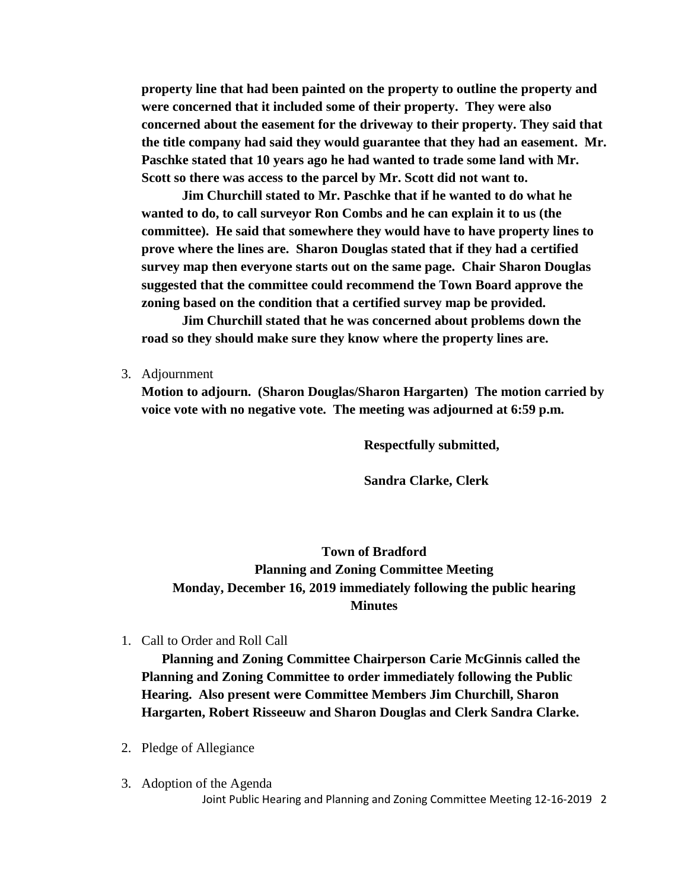**property line that had been painted on the property to outline the property and were concerned that it included some of their property. They were also concerned about the easement for the driveway to their property. They said that the title company had said they would guarantee that they had an easement. Mr. Paschke stated that 10 years ago he had wanted to trade some land with Mr. Scott so there was access to the parcel by Mr. Scott did not want to.**

**Jim Churchill stated to Mr. Paschke that if he wanted to do what he wanted to do, to call surveyor Ron Combs and he can explain it to us (the committee). He said that somewhere they would have to have property lines to prove where the lines are. Sharon Douglas stated that if they had a certified survey map then everyone starts out on the same page. Chair Sharon Douglas suggested that the committee could recommend the Town Board approve the zoning based on the condition that a certified survey map be provided.**

**Jim Churchill stated that he was concerned about problems down the road so they should make sure they know where the property lines are.**

3. Adjournment

**Motion to adjourn. (Sharon Douglas/Sharon Hargarten) The motion carried by voice vote with no negative vote. The meeting was adjourned at 6:59 p.m.**

**Respectfully submitted,**

**Sandra Clarke, Clerk**

**Town of Bradford Planning and Zoning Committee Meeting Monday, December 16, 2019 immediately following the public hearing Minutes**

1. Call to Order and Roll Call

**Planning and Zoning Committee Chairperson Carie McGinnis called the Planning and Zoning Committee to order immediately following the Public Hearing. Also present were Committee Members Jim Churchill, Sharon Hargarten, Robert Risseeuw and Sharon Douglas and Clerk Sandra Clarke.**

- 2. Pledge of Allegiance
- Joint Public Hearing and Planning and Zoning Committee Meeting 12-16-2019 2 3. Adoption of the Agenda